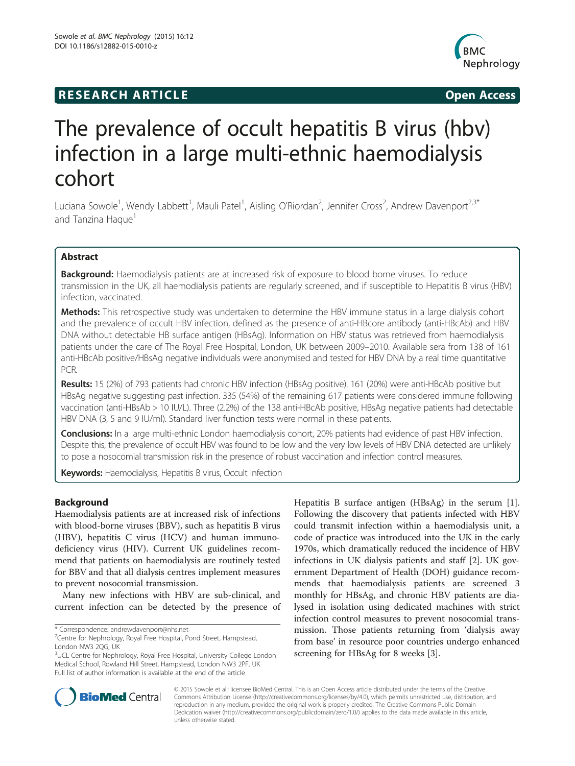# **RESEARCH ARTICLE Example 2014 The SEAR CH ACCESS**



# The prevalence of occult hepatitis B virus (hbv) infection in a large multi-ethnic haemodialysis cohort

Luciana Sowole<sup>1</sup>, Wendy Labbett<sup>1</sup>, Mauli Patel<sup>1</sup>, Aisling O'Riordan<sup>2</sup>, Jennifer Cross<sup>2</sup>, Andrew Davenport<sup>2,3\*</sup> and Tanzina Haque<sup>1</sup>

# Abstract

**Background:** Haemodialysis patients are at increased risk of exposure to blood borne viruses. To reduce transmission in the UK, all haemodialysis patients are regularly screened, and if susceptible to Hepatitis B virus (HBV) infection, vaccinated.

Methods: This retrospective study was undertaken to determine the HBV immune status in a large dialysis cohort and the prevalence of occult HBV infection, defined as the presence of anti-HBcore antibody (anti-HBcAb) and HBV DNA without detectable HB surface antigen (HBsAg). Information on HBV status was retrieved from haemodialysis patients under the care of The Royal Free Hospital, London, UK between 2009–2010. Available sera from 138 of 161 anti-HBcAb positive/HBsAg negative individuals were anonymised and tested for HBV DNA by a real time quantitative PCR.

Results: 15 (2%) of 793 patients had chronic HBV infection (HBsAg positive). 161 (20%) were anti-HBcAb positive but HBsAg negative suggesting past infection. 335 (54%) of the remaining 617 patients were considered immune following vaccination (anti-HBsAb > 10 IU/L). Three (2.2%) of the 138 anti-HBcAb positive, HBsAg negative patients had detectable HBV DNA (3, 5 and 9 IU/ml). Standard liver function tests were normal in these patients.

Conclusions: In a large multi-ethnic London haemodialysis cohort, 20% patients had evidence of past HBV infection. Despite this, the prevalence of occult HBV was found to be low and the very low levels of HBV DNA detected are unlikely to pose a nosocomial transmission risk in the presence of robust vaccination and infection control measures.

Keywords: Haemodialysis, Hepatitis B virus, Occult infection

# Background

Haemodialysis patients are at increased risk of infections with blood-borne viruses (BBV), such as hepatitis B virus (HBV), hepatitis C virus (HCV) and human immunodeficiency virus (HIV). Current UK guidelines recommend that patients on haemodialysis are routinely tested for BBV and that all dialysis centres implement measures to prevent nosocomial transmission.

Many new infections with HBV are sub-clinical, and current infection can be detected by the presence of Hepatitis B surface antigen (HBsAg) in the serum [\[1](#page-4-0)]. Following the discovery that patients infected with HBV could transmit infection within a haemodialysis unit, a code of practice was introduced into the UK in the early 1970s, which dramatically reduced the incidence of HBV infections in UK dialysis patients and staff [\[2](#page-4-0)]. UK government Department of Health (DOH) guidance recommends that haemodialysis patients are screened 3 monthly for HBsAg, and chronic HBV patients are dialysed in isolation using dedicated machines with strict infection control measures to prevent nosocomial transmission. Those patients returning from 'dialysis away from base' in resource poor countries undergo enhanced screening for HBsAg for 8 weeks [[3\]](#page-4-0).



© 2015 Sowole et al.; licensee BioMed Central. This is an Open Access article distributed under the terms of the Creative Commons Attribution License [\(http://creativecommons.org/licenses/by/4.0\)](http://creativecommons.org/licenses/by/4.0), which permits unrestricted use, distribution, and reproduction in any medium, provided the original work is properly credited. The Creative Commons Public Domain Dedication waiver [\(http://creativecommons.org/publicdomain/zero/1.0/](http://creativecommons.org/publicdomain/zero/1.0/)) applies to the data made available in this article, unless otherwise stated.

<sup>\*</sup> Correspondence: [andrewdavenport@nhs.net](mailto:andrewdavenport@nhs.net) <sup>2</sup>

<sup>&</sup>lt;sup>2</sup>Centre for Nephrology, Royal Free Hospital, Pond Street, Hampstead, London NW3 2QG, UK

<sup>&</sup>lt;sup>3</sup>UCL Centre for Nephrology, Royal Free Hospital, University College London Medical School, Rowland Hill Street, Hampstead, London NW3 2PF, UK Full list of author information is available at the end of the article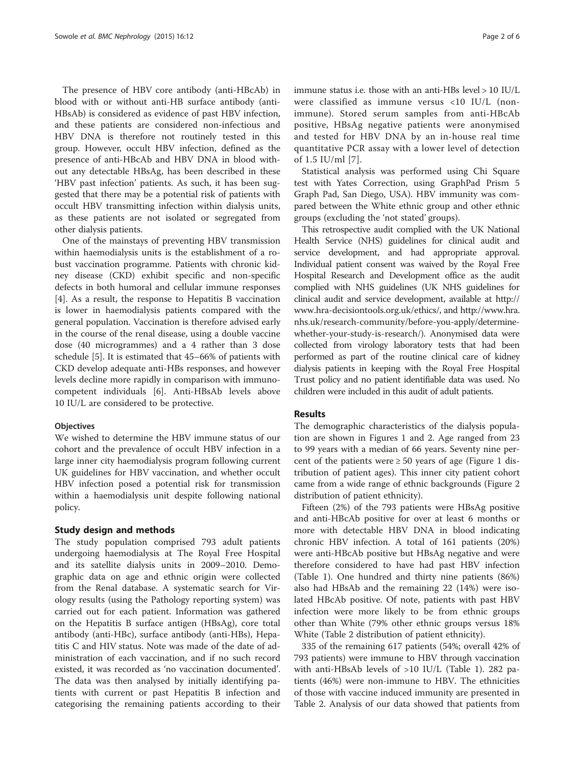The presence of HBV core antibody (anti-HBcAb) in blood with or without anti-HB surface antibody (anti-HBsAb) is considered as evidence of past HBV infection, and these patients are considered non-infectious and HBV DNA is therefore not routinely tested in this group. However, occult HBV infection, defined as the presence of anti-HBcAb and HBV DNA in blood without any detectable HBsAg, has been described in these 'HBV past infection' patients. As such, it has been suggested that there may be a potential risk of patients with occult HBV transmitting infection within dialysis units, as these patients are not isolated or segregated from other dialysis patients.

One of the mainstays of preventing HBV transmission within haemodialysis units is the establishment of a robust vaccination programme. Patients with chronic kidney disease (CKD) exhibit specific and non-specific defects in both humoral and cellular immune responses [[4\]](#page-4-0). As a result, the response to Hepatitis B vaccination is lower in haemodialysis patients compared with the general population. Vaccination is therefore advised early in the course of the renal disease, using a double vaccine dose (40 microgrammes) and a 4 rather than 3 dose schedule [\[5](#page-4-0)]. It is estimated that 45–66% of patients with CKD develop adequate anti-HBs responses, and however levels decline more rapidly in comparison with immunocompetent individuals [[6\]](#page-4-0). Anti-HBsAb levels above 10 IU/L are considered to be protective.

#### **Objectives**

We wished to determine the HBV immune status of our cohort and the prevalence of occult HBV infection in a large inner city haemodialysis program following current UK guidelines for HBV vaccination, and whether occult HBV infection posed a potential risk for transmission within a haemodialysis unit despite following national policy.

#### Study design and methods

The study population comprised 793 adult patients undergoing haemodialysis at The Royal Free Hospital and its satellite dialysis units in 2009–2010. Demographic data on age and ethnic origin were collected from the Renal database. A systematic search for Virology results (using the Pathology reporting system) was carried out for each patient. Information was gathered on the Hepatitis B surface antigen (HBsAg), core total antibody (anti-HBc), surface antibody (anti-HBs), Hepatitis C and HIV status. Note was made of the date of administration of each vaccination, and if no such record existed, it was recorded as 'no vaccination documented'. The data was then analysed by initially identifying patients with current or past Hepatitis B infection and categorising the remaining patients according to their immune status i.e. those with an anti-HBs level > 10 IU/L were classified as immune versus <10 IU/L (nonimmune). Stored serum samples from anti-HBcAb positive, HBsAg negative patients were anonymised and tested for HBV DNA by an in-house real time quantitative PCR assay with a lower level of detection of 1.5 IU/ml [[7](#page-4-0)].

Statistical analysis was performed using Chi Square test with Yates Correction, using GraphPad Prism 5 Graph Pad, San Diego, USA). HBV immunity was compared between the White ethnic group and other ethnic groups (excluding the 'not stated' groups).

This retrospective audit complied with the UK National Health Service (NHS) guidelines for clinical audit and service development, and had appropriate approval. Individual patient consent was waived by the Royal Free Hospital Research and Development office as the audit complied with NHS guidelines (UK NHS guidelines for clinical audit and service development, available at [http://](http://www.hra-decisiontools.org.uk/ethics/) [www.hra-decisiontools.org.uk/ethics/](http://www.hra-decisiontools.org.uk/ethics/), and [http://www.hra.](http://www.hra.nhs.uk/research-community/before-you-apply/determine-whether-your-study-is-research/) [nhs.uk/research-community/before-you-apply/determine](http://www.hra.nhs.uk/research-community/before-you-apply/determine-whether-your-study-is-research/)[whether-your-study-is-research/](http://www.hra.nhs.uk/research-community/before-you-apply/determine-whether-your-study-is-research/)). Anonymised data were collected from virology laboratory tests that had been performed as part of the routine clinical care of kidney dialysis patients in keeping with the Royal Free Hospital Trust policy and no patient identifiable data was used. No children were included in this audit of adult patients.

#### Results

The demographic characteristics of the dialysis population are shown in Figures [1](#page-2-0) and [2](#page-2-0). Age ranged from 23 to 99 years with a median of 66 years. Seventy nine percent of the patients were  $\geq 50$  years of age (Figure [1](#page-2-0) distribution of patient ages). This inner city patient cohort came from a wide range of ethnic backgrounds (Figure [2](#page-2-0) distribution of patient ethnicity).

Fifteen (2%) of the 793 patients were HBsAg positive and anti-HBcAb positive for over at least 6 months or more with detectable HBV DNA in blood indicating chronic HBV infection. A total of 161 patients (20%) were anti-HBcAb positive but HBsAg negative and were therefore considered to have had past HBV infection (Table [1](#page-3-0)). One hundred and thirty nine patients (86%) also had HBsAb and the remaining 22 (14%) were isolated HBcAb positive. Of note, patients with past HBV infection were more likely to be from ethnic groups other than White (79% other ethnic groups versus 18% White (Table [2](#page-3-0) distribution of patient ethnicity).

335 of the remaining 617 patients (54%; overall 42% of 793 patients) were immune to HBV through vaccination with anti-HBsAb levels of >10 IU/L (Table [1\)](#page-3-0). 282 patients (46%) were non-immune to HBV. The ethnicities of those with vaccine induced immunity are presented in Table [2](#page-3-0). Analysis of our data showed that patients from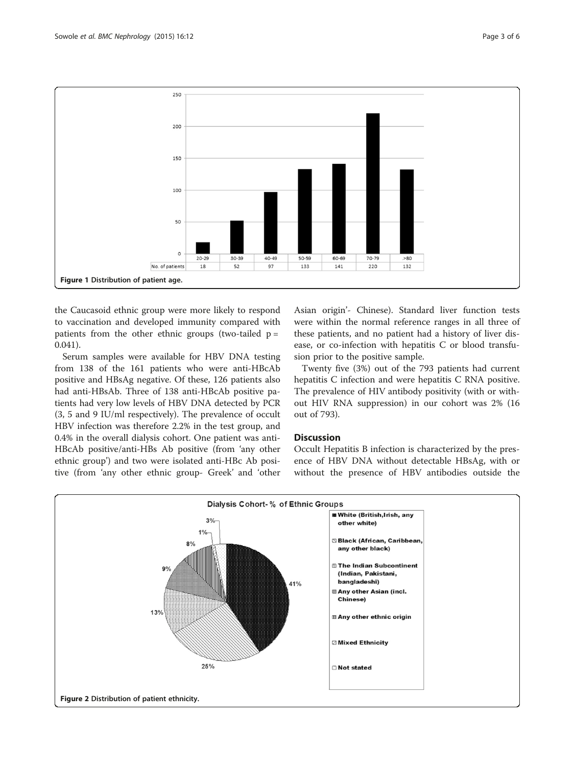<span id="page-2-0"></span>

the Caucasoid ethnic group were more likely to respond to vaccination and developed immunity compared with patients from the other ethnic groups (two-tailed  $p =$ 0.041).

Serum samples were available for HBV DNA testing from 138 of the 161 patients who were anti-HBcAb positive and HBsAg negative. Of these, 126 patients also had anti-HBsAb. Three of 138 anti-HBcAb positive patients had very low levels of HBV DNA detected by PCR (3, 5 and 9 IU/ml respectively). The prevalence of occult HBV infection was therefore 2.2% in the test group, and 0.4% in the overall dialysis cohort. One patient was anti-HBcAb positive/anti-HBs Ab positive (from 'any other ethnic group') and two were isolated anti-HBc Ab positive (from 'any other ethnic group- Greek' and 'other Asian origin'- Chinese). Standard liver function tests were within the normal reference ranges in all three of these patients, and no patient had a history of liver disease, or co-infection with hepatitis C or blood transfusion prior to the positive sample.

Twenty five (3%) out of the 793 patients had current hepatitis C infection and were hepatitis C RNA positive. The prevalence of HIV antibody positivity (with or without HIV RNA suppression) in our cohort was 2% (16 out of 793).

#### Discussion

Occult Hepatitis B infection is characterized by the presence of HBV DNA without detectable HBsAg, with or without the presence of HBV antibodies outside the

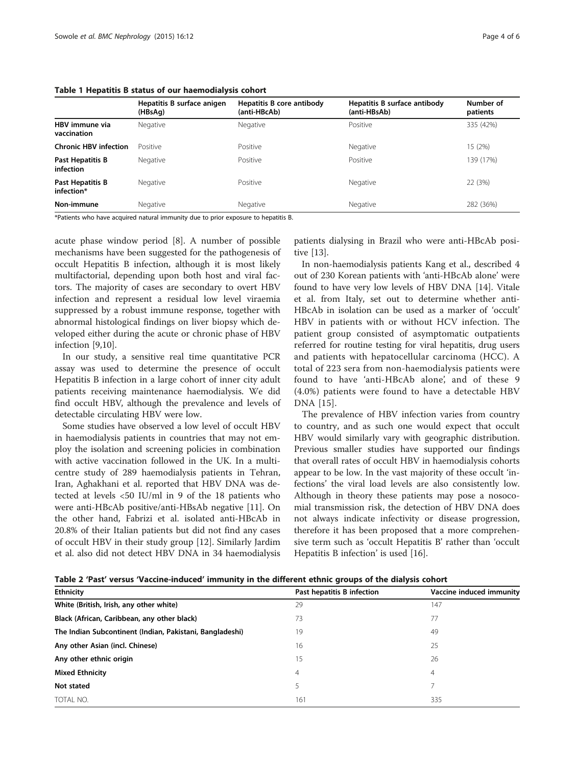|                                | Hepatitis B surface anigen<br>(HBsAg) | Hepatitis B core antibody<br>(anti-HBcAb) | Hepatitis B surface antibody<br>(anti-HBsAb) | Number of<br>patients |
|--------------------------------|---------------------------------------|-------------------------------------------|----------------------------------------------|-----------------------|
| HBV immune via<br>vaccination  | Negative                              | Negative                                  | Positive                                     | 335 (42%)             |
| <b>Chronic HBV infection</b>   | Positive                              | Positive                                  | Negative                                     | 15 (2%)               |
| Past Hepatitis B<br>infection  | Negative                              | Positive                                  | Positive                                     | 139 (17%)             |
| Past Hepatitis B<br>infection* | Negative                              | Positive                                  | Negative                                     | 22 (3%)               |
| Non-immune                     | Negative                              | Negative                                  | Negative                                     | 282 (36%)             |

#### <span id="page-3-0"></span>Table 1 Hepatitis B status of our haemodialysis cohort

\*Patients who have acquired natural immunity due to prior exposure to hepatitis B.

acute phase window period [[8\]](#page-4-0). A number of possible mechanisms have been suggested for the pathogenesis of occult Hepatitis B infection, although it is most likely multifactorial, depending upon both host and viral factors. The majority of cases are secondary to overt HBV infection and represent a residual low level viraemia suppressed by a robust immune response, together with abnormal histological findings on liver biopsy which developed either during the acute or chronic phase of HBV infection [[9,10\]](#page-4-0).

In our study, a sensitive real time quantitative PCR assay was used to determine the presence of occult Hepatitis B infection in a large cohort of inner city adult patients receiving maintenance haemodialysis. We did find occult HBV, although the prevalence and levels of detectable circulating HBV were low.

Some studies have observed a low level of occult HBV in haemodialysis patients in countries that may not employ the isolation and screening policies in combination with active vaccination followed in the UK. In a multicentre study of 289 haemodialysis patients in Tehran, Iran, Aghakhani et al. reported that HBV DNA was detected at levels <50 IU/ml in 9 of the 18 patients who were anti-HBcAb positive/anti-HBsAb negative [[11\]](#page-4-0). On the other hand, Fabrizi et al. isolated anti-HBcAb in 20.8% of their Italian patients but did not find any cases of occult HBV in their study group [[12](#page-4-0)]. Similarly Jardim et al. also did not detect HBV DNA in 34 haemodialysis patients dialysing in Brazil who were anti-HBcAb positive [\[13](#page-4-0)].

In non-haemodialysis patients Kang et al., described 4 out of 230 Korean patients with 'anti-HBcAb alone' were found to have very low levels of HBV DNA [[14\]](#page-4-0). Vitale et al. from Italy, set out to determine whether anti-HBcAb in isolation can be used as a marker of 'occult' HBV in patients with or without HCV infection. The patient group consisted of asymptomatic outpatients referred for routine testing for viral hepatitis, drug users and patients with hepatocellular carcinoma (HCC). A total of 223 sera from non-haemodialysis patients were found to have 'anti-HBcAb alone', and of these 9 (4.0%) patients were found to have a detectable HBV DNA [[15](#page-4-0)].

The prevalence of HBV infection varies from country to country, and as such one would expect that occult HBV would similarly vary with geographic distribution. Previous smaller studies have supported our findings that overall rates of occult HBV in haemodialysis cohorts appear to be low. In the vast majority of these occult 'infections' the viral load levels are also consistently low. Although in theory these patients may pose a nosocomial transmission risk, the detection of HBV DNA does not always indicate infectivity or disease progression, therefore it has been proposed that a more comprehensive term such as 'occult Hepatitis B' rather than 'occult Hepatitis B infection' is used [\[16](#page-4-0)].

| <b>Ethnicity</b>                                         | Past hepatitis B infection | Vaccine induced immunity |  |
|----------------------------------------------------------|----------------------------|--------------------------|--|
| White (British, Irish, any other white)                  | 29                         | 147                      |  |
| Black (African, Caribbean, any other black)              | 73                         | 77                       |  |
| The Indian Subcontinent (Indian, Pakistani, Bangladeshi) | 19                         | 49                       |  |
| Any other Asian (incl. Chinese)                          | 16                         | 25                       |  |
| Any other ethnic origin                                  | 15                         | 26                       |  |
| <b>Mixed Ethnicity</b>                                   | 4                          | 4                        |  |
| Not stated                                               |                            |                          |  |
| TOTAL NO.                                                | 161                        | 335                      |  |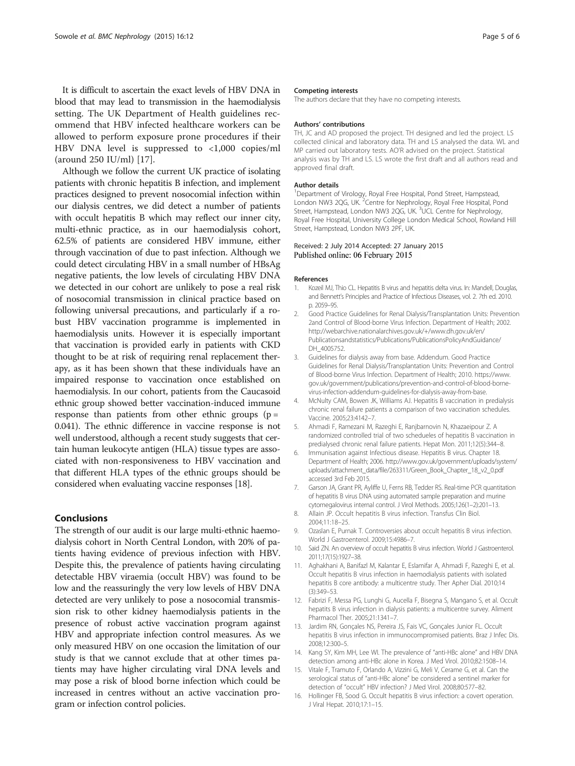<span id="page-4-0"></span>It is difficult to ascertain the exact levels of HBV DNA in blood that may lead to transmission in the haemodialysis setting. The UK Department of Health guidelines recommend that HBV infected healthcare workers can be allowed to perform exposure prone procedures if their HBV DNA level is suppressed to <1,000 copies/ml (around 250 IU/ml) [\[17](#page-5-0)].

Although we follow the current UK practice of isolating patients with chronic hepatitis B infection, and implement practices designed to prevent nosocomial infection within our dialysis centres, we did detect a number of patients with occult hepatitis B which may reflect our inner city, multi-ethnic practice, as in our haemodialysis cohort, 62.5% of patients are considered HBV immune, either through vaccination of due to past infection. Although we could detect circulating HBV in a small number of HBsAg negative patients, the low levels of circulating HBV DNA we detected in our cohort are unlikely to pose a real risk of nosocomial transmission in clinical practice based on following universal precautions, and particularly if a robust HBV vaccination programme is implemented in haemodialysis units. However it is especially important that vaccination is provided early in patients with CKD thought to be at risk of requiring renal replacement therapy, as it has been shown that these individuals have an impaired response to vaccination once established on haemodialysis. In our cohort, patients from the Caucasoid ethnic group showed better vaccination-induced immune response than patients from other ethnic groups  $(p =$ 0.041). The ethnic difference in vaccine response is not well understood, although a recent study suggests that certain human leukocyte antigen (HLA) tissue types are associated with non-responsiveness to HBV vaccination and that different HLA types of the ethnic groups should be considered when evaluating vaccine responses [\[18](#page-5-0)].

### Conclusions

The strength of our audit is our large multi-ethnic haemodialysis cohort in North Central London, with 20% of patients having evidence of previous infection with HBV. Despite this, the prevalence of patients having circulating detectable HBV viraemia (occult HBV) was found to be low and the reassuringly the very low levels of HBV DNA detected are very unlikely to pose a nosocomial transmission risk to other kidney haemodialysis patients in the presence of robust active vaccination program against HBV and appropriate infection control measures. As we only measured HBV on one occasion the limitation of our study is that we cannot exclude that at other times patients may have higher circulating viral DNA levels and may pose a risk of blood borne infection which could be increased in centres without an active vaccination program or infection control policies.

#### Competing interests

The authors declare that they have no competing interests.

#### Authors' contributions

TH, JC and AD proposed the project. TH designed and led the project. LS collected clinical and laboratory data. TH and LS analysed the data. WL and MP carried out laboratory tests. AO'R advised on the project. Statistical analysis was by TH and LS. LS wrote the first draft and all authors read and approved final draft.

#### Author details

<sup>1</sup>Department of Virology, Royal Free Hospital, Pond Street, Hampstead, London NW3 2QG, UK. <sup>2</sup>Centre for Nephrology, Royal Free Hospital, Pond Street, Hampstead, London NW3 2QG, UK. <sup>3</sup>UCL Centre for Nephrology, Royal Free Hospital, University College London Medical School, Rowland Hill Street, Hampstead, London NW3 2PF, UK.

#### Received: 2 July 2014 Accepted: 27 January 2015 Published online: 06 February 2015

#### References

- 1. Kozeil MJ, Thio CL. Hepatitis B virus and hepatitis delta virus. In: Mandell, Douglas, and Bennett's Principles and Practice of Infectious Diseases, vol. 2. 7th ed. 2010. p. 2059–95.
- 2. Good Practice Guidelines for Renal Dialysis/Transplantation Units: Prevention 2and Control of Blood-borne Virus Infection. Department of Health; 2002. [http://webarchive.nationalarchives.gov.uk/+/www.dh.gov.uk/en/](http://webarchive.nationalarchives.gov.uk/+/www.dh.gov.uk/en/Publicationsandstatistics/Publications/PublicationsPolicyAndGuidance/DH_4005752) [Publicationsandstatistics/Publications/PublicationsPolicyAndGuidance/](http://webarchive.nationalarchives.gov.uk/+/www.dh.gov.uk/en/Publicationsandstatistics/Publications/PublicationsPolicyAndGuidance/DH_4005752) [DH\\_4005752](http://webarchive.nationalarchives.gov.uk/+/www.dh.gov.uk/en/Publicationsandstatistics/Publications/PublicationsPolicyAndGuidance/DH_4005752).
- 3. Guidelines for dialysis away from base. Addendum. Good Practice Guidelines for Renal Dialysis/Transplantation Units: Prevention and Control of Blood-borne Virus Infection. Department of Health; 2010. [https://www.](https://www.gov.uk/government/publications/prevention-and-control-of-blood-borne-virus-infection-addendum-guidelines-for-dialysis-away-from-base) [gov.uk/government/publications/prevention-and-control-of-blood-borne](https://www.gov.uk/government/publications/prevention-and-control-of-blood-borne-virus-infection-addendum-guidelines-for-dialysis-away-from-base)[virus-infection-addendum-guidelines-for-dialysis-away-from-base](https://www.gov.uk/government/publications/prevention-and-control-of-blood-borne-virus-infection-addendum-guidelines-for-dialysis-away-from-base).
- 4. McNulty CAM, Bowen JK, Williams AJ. Hepatitis B vaccination in predialysis chronic renal failure patients a comparison of two vaccination schedules. Vaccine. 2005;23:4142–7.
- 5. Ahmadi F, Ramezani M, Razeghi E, Ranjbarnovin N, Khazaeipour Z. A randomized controlled trial of two schedueles of hepatitis B vaccination in predialysed chronic renal failure patients. Hepat Mon. 2011;12(5):344–8.
- 6. Immunisation against Infectious disease. Hepatitis B virus. Chapter 18. Department of Health; 2006. [http://www.gov.uk/government/uploads/system/](http://www.gov.uk/government/uploads/system/uploads/attachment_data/file/263311/Green_Book_Chapter_18_v2_0.pdf) [uploads/attachment\\_data/file/263311/Green\\_Book\\_Chapter\\_18\\_v2\\_0.pdf](http://www.gov.uk/government/uploads/system/uploads/attachment_data/file/263311/Green_Book_Chapter_18_v2_0.pdf) accessed 3rd Feb 2015.
- 7. Garson JA, Grant PR, Ayliffe U, Ferns RB, Tedder RS. Real-time PCR quantitation of hepatitis B virus DNA using automated sample preparation and murine cytomegalovirus internal control. J Virol Methods. 2005;126(1–2):201–13.
- 8. Allain JP. Occult hepatitis B virus infection. Transfus Clin Biol. 2004;11:18–25.
- 9. Ozaslan E, Purnak T. Controversies about occult hepatitis B virus infection. World J Gastroenterol. 2009;15:4986–7.
- 10. Said ZN. An overview of occult hepatitis B virus infection. World J Gastroenterol. 2011;17(15):1927–38.
- 11. Aghakhani A, Banifazl M, Kalantar E, Eslamifar A, Ahmadi F, Razeghi E, et al. Occult hepatitis B virus infection in haemodialysis patients with isolated hepatitis B core antibody: a multicentre study. Ther Apher Dial. 2010;14 (3):349–53.
- 12. Fabrizi F, Messa PG, Lunghi G, Aucella F, Bisegna S, Mangano S, et al. Occult hepatits B virus infection in dialysis patients: a multicentre survey. Aliment Pharmacol Ther. 2005;21:1341–7.
- 13. Jardim RN, Gonçales NS, Pereira JS, Fais VC, Gonçales Junior FL. Occult hepatitis B virus infection in immunocompromised patients. Braz J Infec Dis. 2008;12:300–5.
- 14. Kang SY, Kim MH, Lee WI. The prevalence of "anti-HBc alone" and HBV DNA detection among anti-HBc alone in Korea. J Med Virol. 2010;82:1508–14.
- 15. Vitale F, Tramuto F, Orlando A, Vizzini G, Meli V, Cerame G, et al. Can the serological status of "anti-HBc alone" be considered a sentinel marker for detection of "occult" HBV infection? J Med Virol. 2008;80:577–82.
- 16. Hollinger FB, Sood G. Occult hepatitis B virus infection: a covert operation. J Viral Hepat. 2010;17:1–15.